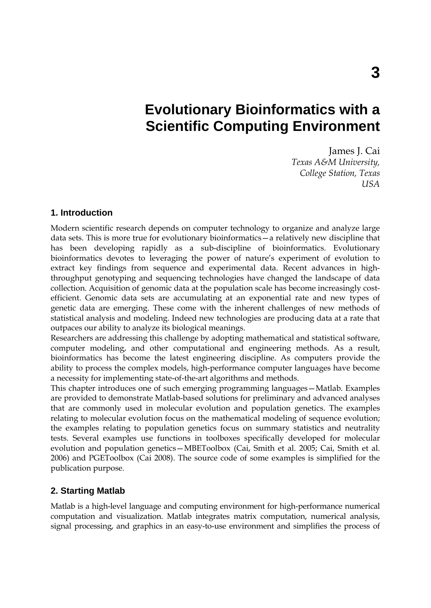# **Evolutionary Bioinformatics with a Scientific Computing Environment**

James J. Cai *Texas A&M University, College Station, Texas USA* 

## **1. Introduction**

Modern scientific research depends on computer technology to organize and analyze large data sets. This is more true for evolutionary bioinformatics—a relatively new discipline that has been developing rapidly as a sub-discipline of bioinformatics. Evolutionary bioinformatics devotes to leveraging the power of nature's experiment of evolution to extract key findings from sequence and experimental data. Recent advances in highthroughput genotyping and sequencing technologies have changed the landscape of data collection. Acquisition of genomic data at the population scale has become increasingly costefficient. Genomic data sets are accumulating at an exponential rate and new types of genetic data are emerging. These come with the inherent challenges of new methods of statistical analysis and modeling. Indeed new technologies are producing data at a rate that outpaces our ability to analyze its biological meanings.

Researchers are addressing this challenge by adopting mathematical and statistical software, computer modeling, and other computational and engineering methods. As a result, bioinformatics has become the latest engineering discipline. As computers provide the ability to process the complex models, high-performance computer languages have become a necessity for implementing state-of-the-art algorithms and methods.

This chapter introduces one of such emerging programming languages—Matlab. Examples are provided to demonstrate Matlab-based solutions for preliminary and advanced analyses that are commonly used in molecular evolution and population genetics. The examples relating to molecular evolution focus on the mathematical modeling of sequence evolution; the examples relating to population genetics focus on summary statistics and neutrality tests. Several examples use functions in toolboxes specifically developed for molecular evolution and population genetics—MBEToolbox (Cai, Smith et al. 2005; Cai, Smith et al. 2006) and PGEToolbox (Cai 2008). The source code of some examples is simplified for the publication purpose.

## **2. Starting Matlab**

Matlab is a high-level language and computing environment for high-performance numerical computation and visualization. Matlab integrates matrix computation, numerical analysis, signal processing, and graphics in an easy-to-use environment and simplifies the process of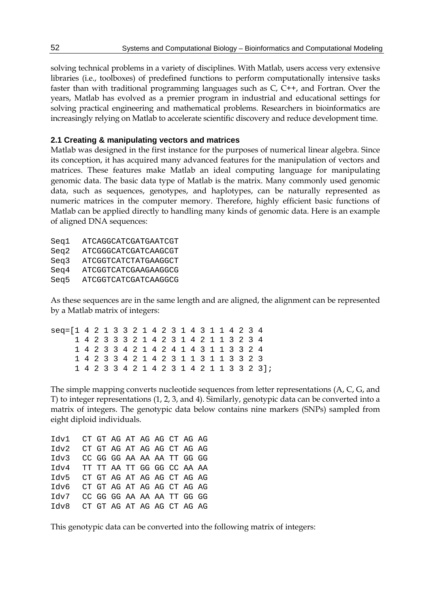solving technical problems in a variety of disciplines. With Matlab, users access very extensive libraries (i.e., toolboxes) of predefined functions to perform computationally intensive tasks faster than with traditional programming languages such as C, C++, and Fortran. Over the years, Matlab has evolved as a premier program in industrial and educational settings for solving practical engineering and mathematical problems. Researchers in bioinformatics are increasingly relying on Matlab to accelerate scientific discovery and reduce development time.

#### **2.1 Creating & manipulating vectors and matrices**

Matlab was designed in the first instance for the purposes of numerical linear algebra. Since its conception, it has acquired many advanced features for the manipulation of vectors and matrices. These features make Matlab an ideal computing language for manipulating genomic data. The basic data type of Matlab is the matrix. Many commonly used genomic data, such as sequences, genotypes, and haplotypes, can be naturally represented as numeric matrices in the computer memory. Therefore, highly efficient basic functions of Matlab can be applied directly to handling many kinds of genomic data. Here is an example of aligned DNA sequences:

Seq1 ATCAGGCATCGATGAATCGT Seq2 ATCGGGCATCGATCAAGCGT Seq3 ATCGGTCATCTATGAAGGCT Seq4 ATCGGTCATCGAAGAAGGCG Seq5 ATCGGTCATCGATCAAGGCG

As these sequences are in the same length and are aligned, the alignment can be represented by a Matlab matrix of integers:

seq=[1 4 2 1 3 3 2 1 4 2 3 1 4 3 1 1 4 2 3 4 1 4 2 3 3 3 2 1 4 2 3 1 4 2 1 1 3 2 3 4 1 4 2 3 3 4 2 1 4 2 4 1 4 3 1 1 3 3 2 4 1 4 2 3 3 4 2 1 4 2 3 1 1 3 1 1 3 3 2 3 1 4 2 3 3 4 2 1 4 2 3 1 4 2 1 1 3 3 2 3];

The simple mapping converts nucleotide sequences from letter representations (A, C, G, and T) to integer representations (1, 2, 3, and 4). Similarly, genotypic data can be converted into a matrix of integers. The genotypic data below contains nine markers (SNPs) sampled from eight diploid individuals.

Idv1 CT GT AG AT AG AG CT AG AG Idv2 CT GT AG AT AG AG CT AG AG Idv3 CC GG GG AA AA AA TT GG GG Idv4 TT TT AA TT GG GG CC AA AA Idv5 CT GT AG AT AG AG CT AG AG Idv6 CT GT AG AT AG AG CT AG AG Idv7 CC GG GG AA AA AA TT GG GG Idv8 CT GT AG AT AG AG CT AG AG

This genotypic data can be converted into the following matrix of integers: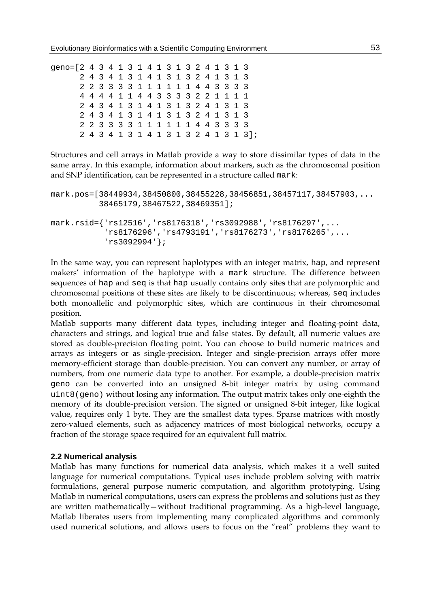| qeno=[2 4 3 4 1 3 1 4 1 3 1 3 2 4 1 3 1 3 |  |  |  |  |  |  |  |  |                                     |                                       |
|-------------------------------------------|--|--|--|--|--|--|--|--|-------------------------------------|---------------------------------------|
|                                           |  |  |  |  |  |  |  |  | 2 4 3 4 1 3 1 4 1 3 1 3 2 4 1 3 1 3 |                                       |
|                                           |  |  |  |  |  |  |  |  | 2 2 3 3 3 3 1 1 1 1 1 1 4 4 3 3 3 3 |                                       |
|                                           |  |  |  |  |  |  |  |  | 4 4 4 4 1 1 4 4 3 3 3 3 2 2 1 1 1 1 |                                       |
|                                           |  |  |  |  |  |  |  |  | 2 4 3 4 1 3 1 4 1 3 1 3 2 4 1 3 1 3 |                                       |
|                                           |  |  |  |  |  |  |  |  | 2 4 3 4 1 3 1 4 1 3 1 3 2 4 1 3 1 3 |                                       |
|                                           |  |  |  |  |  |  |  |  | 2 2 3 3 3 3 1 1 1 1 1 1 4 4 3 3 3 3 |                                       |
|                                           |  |  |  |  |  |  |  |  |                                     | 2 4 3 4 1 3 1 4 1 3 1 3 2 4 1 3 1 3 1 |

Structures and cell arrays in Matlab provide a way to store dissimilar types of data in the same array. In this example, information about markers, such as the chromosomal position and SNP identification, can be represented in a structure called mark:

```
mark.pos=[38449934,38450800,38455228,38456851,38457117,38457903,... 
           38465179,38467522,38469351]; 
mark.rsid={'rs12516','rs8176318','rs3092988','rs8176297',... 
            'rs8176296','rs4793191','rs8176273','rs8176265',... 
            'rs3092994'};
```
In the same way, you can represent haplotypes with an integer matrix, hap, and represent makers' information of the haplotype with a mark structure. The difference between sequences of hap and seq is that hap usually contains only sites that are polymorphic and chromosomal positions of these sites are likely to be discontinuous; whereas, seq includes both monoallelic and polymorphic sites, which are continuous in their chromosomal position.

Matlab supports many different data types, including integer and floating-point data, characters and strings, and logical true and false states. By default, all numeric values are stored as double-precision floating point. You can choose to build numeric matrices and arrays as integers or as single-precision. Integer and single-precision arrays offer more memory-efficient storage than double-precision. You can convert any number, or array of numbers, from one numeric data type to another. For example, a double-precision matrix geno can be converted into an unsigned 8-bit integer matrix by using command uint8(geno) without losing any information. The output matrix takes only one-eighth the memory of its double-precision version. The signed or unsigned 8-bit integer, like logical value, requires only 1 byte. They are the smallest data types. Sparse matrices with mostly zero-valued elements, such as adjacency matrices of most biological networks, occupy a fraction of the storage space required for an equivalent full matrix.

#### **2.2 Numerical analysis**

Matlab has many functions for numerical data analysis, which makes it a well suited language for numerical computations. Typical uses include problem solving with matrix formulations, general purpose numeric computation, and algorithm prototyping. Using Matlab in numerical computations, users can express the problems and solutions just as they are written mathematically—without traditional programming. As a high-level language, Matlab liberates users from implementing many complicated algorithms and commonly used numerical solutions, and allows users to focus on the "real" problems they want to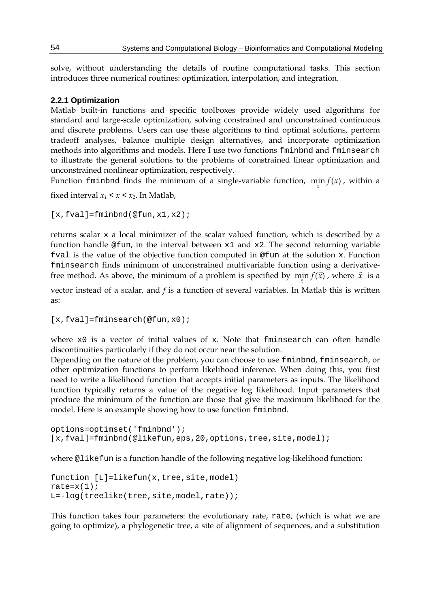solve, without understanding the details of routine computational tasks. This section introduces three numerical routines: optimization, interpolation, and integration.

## **2.2.1 Optimization**

Matlab built-in functions and specific toolboxes provide widely used algorithms for standard and large-scale optimization, solving constrained and unconstrained continuous and discrete problems. Users can use these algorithms to find optimal solutions, perform tradeoff analyses, balance multiple design alternatives, and incorporate optimization methods into algorithms and models. Here I use two functions fminbnd and fminsearch to illustrate the general solutions to the problems of constrained linear optimization and unconstrained nonlinear optimization, respectively.

Function fminbnd finds the minimum of a single-variable function,  $\min_{x} f(x)$ , within a

fixed interval  $x_1 < x < x_2$ . In Matlab,

```
[x, fval] = fminbnd(\mathcal{Q}fun, x1, x2);
```
returns scalar x a local minimizer of the scalar valued function, which is described by a function handle  $\mathscr{E}$ fun, in the interval between x1 and x2. The second returning variable fval is the value of the objective function computed in @fun at the solution x. Function fminsearch finds minimum of unconstrained multivariable function using a derivativefree method. As above, the minimum of a problem is specified by  $\min_{\bar{x}} f(\bar{x})$ , where  $\bar{x}$  is a

vector instead of a scalar, and *f* is a function of several variables. In Matlab this is written as:

[x,fval]=fminsearch(@fun,x0);

where  $x0$  is a vector of initial values of x. Note that fminsearch can often handle discontinuities particularly if they do not occur near the solution.

Depending on the nature of the problem, you can choose to use fminbnd, fminsearch, or other optimization functions to perform likelihood inference. When doing this, you first need to write a likelihood function that accepts initial parameters as inputs. The likelihood function typically returns a value of the negative log likelihood. Input parameters that produce the minimum of the function are those that give the maximum likelihood for the model. Here is an example showing how to use function fminbnd.

```
options=optimset('fminbnd'); 
[x,fval]=fminbnd(@likefun,eps,20,options,tree,site,model);
```
where @likefun is a function handle of the following negative log-likelihood function:

```
function [L]=likefun(x,tree,site,model) 
rate=x(1);
L=-log(treelike(tree,site,model,rate));
```
This function takes four parameters: the evolutionary rate, rate, (which is what we are going to optimize), a phylogenetic tree, a site of alignment of sequences, and a substitution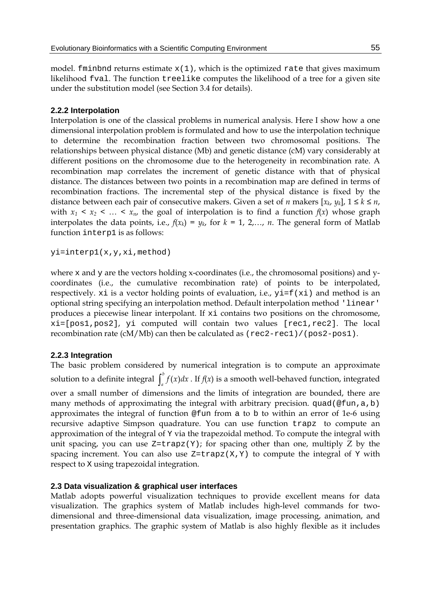model. fminbnd returns estimate  $x(1)$ , which is the optimized rate that gives maximum likelihood fval. The function treelike computes the likelihood of a tree for a given site under the substitution model (see Section 3.4 for details).

## **2.2.2 Interpolation**

Interpolation is one of the classical problems in numerical analysis. Here I show how a one dimensional interpolation problem is formulated and how to use the interpolation technique to determine the recombination fraction between two chromosomal positions. The relationships between physical distance (Mb) and genetic distance (cM) vary considerably at different positions on the chromosome due to the heterogeneity in recombination rate. A recombination map correlates the increment of genetic distance with that of physical distance. The distances between two points in a recombination map are defined in terms of recombination fractions. The incremental step of the physical distance is fixed by the distance between each pair of consecutive makers. Given a set of *n* makers  $[x_k, y_k]$ ,  $1 \le k \le n$ , with  $x_1 \le x_2 \le ... \le x_n$ , the goal of interpolation is to find a function  $f(x)$  whose graph interpolates the data points, i.e.,  $f(x_k) = y_k$ , for  $k = 1, 2,..., n$ . The general form of Matlab function interp1 is as follows:

yi=interp1(x,y,xi,method)

where  $x$  and  $y$  are the vectors holding x-coordinates (i.e., the chromosomal positions) and  $y$ coordinates (i.e., the cumulative recombination rate) of points to be interpolated, respectively. xi is a vector holding points of evaluation, i.e.,  $yi=f(xi)$  and method is an optional string specifying an interpolation method. Default interpolation method 'linear' produces a piecewise linear interpolant. If xi contains two positions on the chromosome, xi=[pos1,pos2], yi computed will contain two values [rec1,rec2]. The local recombination rate (cM/Mb) can then be calculated as (rec2-rec1)/(pos2-pos1).

## **2.2.3 Integration**

The basic problem considered by numerical integration is to compute an approximate solution to a definite integral  $\int_a^b f(x)dx$  . If  $f(x)$  is a smooth well-behaved function, integrated over a small number of dimensions and the limits of integration are bounded, there are many methods of approximating the integral with arbitrary precision.  $quad$   $($   $@fun, a, b)$ approximates the integral of function @fun from a to b to within an error of 1e-6 using recursive adaptive Simpson quadrature. You can use function trapz to compute an approximation of the integral of Y via the trapezoidal method. To compute the integral with unit spacing, you can use  $Z = \text{trapz}(Y)$ ; for spacing other than one, multiply Z by the spacing increment. You can also use  $Z = \text{trapz}(X, Y)$  to compute the integral of Y with respect to X using trapezoidal integration.

## **2.3 Data visualization & graphical user interfaces**

Matlab adopts powerful visualization techniques to provide excellent means for data visualization. The graphics system of Matlab includes high-level commands for twodimensional and three-dimensional data visualization, image processing, animation, and presentation graphics. The graphic system of Matlab is also highly flexible as it includes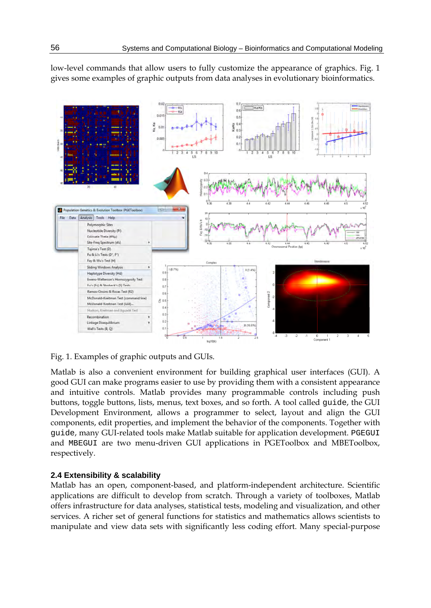low-level commands that allow users to fully customize the appearance of graphics. Fig. 1 gives some examples of graphic outputs from data analyses in evolutionary bioinformatics.



Fig. 1. Examples of graphic outputs and GUIs.

Matlab is also a convenient environment for building graphical user interfaces (GUI). A good GUI can make programs easier to use by providing them with a consistent appearance and intuitive controls. Matlab provides many programmable controls including push buttons, toggle buttons, lists, menus, text boxes, and so forth. A tool called guide, the GUI Development Environment, allows a programmer to select, layout and align the GUI components, edit properties, and implement the behavior of the components. Together with guide, many GUI-related tools make Matlab suitable for application development. PGEGUI and MBEGUI are two menu-driven GUI applications in PGEToolbox and MBEToolbox, respectively.

## **2.4 Extensibility & scalability**

Matlab has an open, component-based, and platform-independent architecture. Scientific applications are difficult to develop from scratch. Through a variety of toolboxes, Matlab offers infrastructure for data analyses, statistical tests, modeling and visualization, and other services. A richer set of general functions for statistics and mathematics allows scientists to manipulate and view data sets with significantly less coding effort. Many special-purpose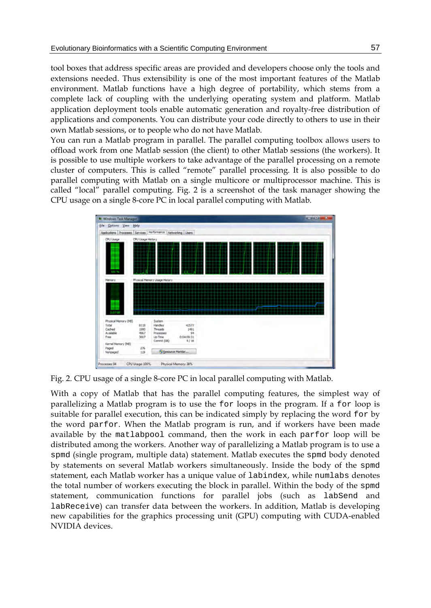tool boxes that address specific areas are provided and developers choose only the tools and extensions needed. Thus extensibility is one of the most important features of the Matlab environment. Matlab functions have a high degree of portability, which stems from a complete lack of coupling with the underlying operating system and platform. Matlab application deployment tools enable automatic generation and royalty-free distribution of applications and components. You can distribute your code directly to others to use in their own Matlab sessions, or to people who do not have Matlab.

You can run a Matlab program in parallel. The parallel computing toolbox allows users to offload work from one Matlab session (the client) to other Matlab sessions (the workers). It is possible to use multiple workers to take advantage of the parallel processing on a remote cluster of computers. This is called "remote" parallel processing. It is also possible to do parallel computing with Matlab on a single multicore or multiprocessor machine. This is called "local" parallel computing. Fig. 2 is a screenshot of the task manager showing the CPU usage on a single 8-core PC in local parallel computing with Matlab.



Fig. 2. CPU usage of a single 8-core PC in local parallel computing with Matlab.

With a copy of Matlab that has the parallel computing features, the simplest way of parallelizing a Matlab program is to use the for loops in the program. If a for loop is suitable for parallel execution, this can be indicated simply by replacing the word for by the word parfor. When the Matlab program is run, and if workers have been made available by the matlabpool command, then the work in each parfor loop will be distributed among the workers. Another way of parallelizing a Matlab program is to use a spmd (single program, multiple data) statement. Matlab executes the spmd body denoted by statements on several Matlab workers simultaneously. Inside the body of the spmd statement, each Matlab worker has a unique value of labindex, while numlabs denotes the total number of workers executing the block in parallel. Within the body of the spmd statement, communication functions for parallel jobs (such as labSend and labReceive) can transfer data between the workers. In addition, Matlab is developing new capabilities for the graphics processing unit (GPU) computing with CUDA-enabled NVIDIA devices.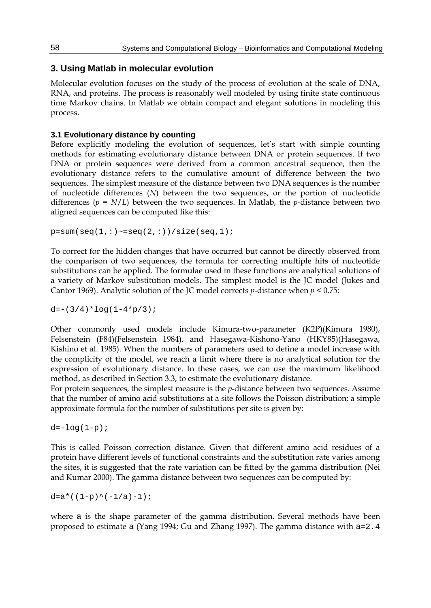## **3. Using Matlab in molecular evolution**

Molecular evolution focuses on the study of the process of evolution at the scale of DNA, RNA, and proteins. The process is reasonably well modeled by using finite state continuous time Markov chains. In Matlab we obtain compact and elegant solutions in modeling this process.

## **3.1 Evolutionary distance by counting**

Before explicitly modeling the evolution of sequences, let's start with simple counting methods for estimating evolutionary distance between DNA or protein sequences. If two DNA or protein sequences were derived from a common ancestral sequence, then the evolutionary distance refers to the cumulative amount of difference between the two sequences. The simplest measure of the distance between two DNA sequences is the number of nucleotide differences (*N*) between the two sequences, or the portion of nucleotide differences  $(p = N/L)$  between the two sequences. In Matlab, the *p*-distance between two aligned sequences can be computed like this:

```
p = sum(seq(1,:)-seq(2,:))/size(seq,1);
```
To correct for the hidden changes that have occurred but cannot be directly observed from the comparison of two sequences, the formula for correcting multiple hits of nucleotide substitutions can be applied. The formulae used in these functions are analytical solutions of a variety of Markov substitution models. The simplest model is the JC model (Jukes and Cantor 1969). Analytic solution of the JC model corrects *p*-distance when *p* < 0.75:

 $d=-(3/4)*log(1-4*p/3);$ 

Other commonly used models include Kimura-two-parameter (K2P)(Kimura 1980), Felsenstein (F84)(Felsenstein 1984), and Hasegawa-Kishono-Yano (HKY85)(Hasegawa, Kishino et al. 1985). When the numbers of parameters used to define a model increase with the complicity of the model, we reach a limit where there is no analytical solution for the expression of evolutionary distance. In these cases, we can use the maximum likelihood method, as described in Section 3.3, to estimate the evolutionary distance.

For protein sequences, the simplest measure is the *p*-distance between two sequences. Assume that the number of amino acid substitutions at a site follows the Poisson distribution; a simple approximate formula for the number of substitutions per site is given by:

 $d=-log(1-p);$ 

This is called Poisson correction distance. Given that different amino acid residues of a protein have different levels of functional constraints and the substitution rate varies among the sites, it is suggested that the rate variation can be fitted by the gamma distribution (Nei and Kumar 2000). The gamma distance between two sequences can be computed by:

 $d=a*((1-p)^{(-1/a)-1})$ ;

where a is the shape parameter of the gamma distribution. Several methods have been proposed to estimate a (Yang 1994; Gu and Zhang 1997). The gamma distance with a=2.4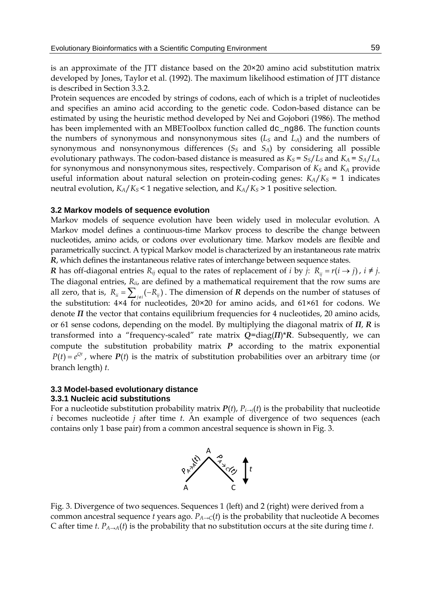is an approximate of the JTT distance based on the 20×20 amino acid substitution matrix developed by Jones, Taylor et al. (1992). The maximum likelihood estimation of JTT distance is described in Section 3.3.2.

Protein sequences are encoded by strings of codons, each of which is a triplet of nucleotides and specifies an amino acid according to the genetic code. Codon-based distance can be estimated by using the heuristic method developed by Nei and Gojobori (1986). The method has been implemented with an MBEToolbox function called dc\_ng86. The function counts the numbers of synonymous and nonsynonymous sites (*LS* and *LA*) and the numbers of synonymous and nonsynonymous differences (*SS* and *SA*) by considering all possible evolutionary pathways. The codon-based distance is measured as  $K_S = S_S/L_S$  and  $K_A = S_A/L_A$ for synonymous and nonsynonymous sites, respectively. Comparison of *KS* and *KA* provide useful information about natural selection on protein-coding genes:  $K_A/K_S = 1$  indicates neutral evolution,  $K_A/K_S$  < 1 negative selection, and  $K_A/K_S$  > 1 positive selection.

#### **3.2 Markov models of sequence evolution**

Markov models of sequence evolution have been widely used in molecular evolution. A Markov model defines a continuous-time Markov process to describe the change between nucleotides, amino acids, or codons over evolutionary time. Markov models are flexible and parametrically succinct. A typical Markov model is characterized by an instantaneous rate matrix *R*, which defines the instantaneous relative rates of interchange between sequence states.

*R* has off-diagonal entries  $R_{ij}$  equal to the rates of replacement of *i* by *j*:  $R_{ii} = r(i \rightarrow j)$ ,  $i \neq j$ . The diagonal entries, *Rii*, are defined by a mathematical requirement that the row sums are all zero, that is,  $R_{ii} = \sum_{j \neq i} (-R_{ij})$ . The dimension of *R* depends on the number of statuses of the substitution: 4×4 for nucleotides, 20×20 for amino acids, and 61×61 for codons. We denote *Π* the vector that contains equilibrium frequencies for 4 nucleotides, 20 amino acids, or 61 sense codons, depending on the model. By multiplying the diagonal matrix of *Π*, *R* is transformed into a "frequency-scaled" rate matrix *Q=*diag(*Π*)\**R*. Subsequently, we can compute the substitution probability matrix *P* according to the matrix exponential  $P(t) = e^{Qt}$ , where  $P(t)$  is the matrix of substitution probabilities over an arbitrary time (or branch length) *t*.

#### **3.3 Model-based evolutionary distance 3.3.1 Nucleic acid substitutions**

For a nucleotide substitution probability matrix  $P(t)$ ,  $P_{i\rightarrow j}(t)$  is the probability that nucleotide *i* becomes nucleotide *j* after time *t*. An example of divergence of two sequences (each contains only 1 base pair) from a common ancestral sequence is shown in Fig. 3.



Fig. 3. Divergence of two sequences. Sequences 1 (left) and 2 (right) were derived from a common ancestral sequence *t* years ago.  $P_{A\rightarrow C}(t)$  is the probability that nucleotide A becomes C after time *t*.  $P_{A\rightarrow A}(t)$  is the probability that no substitution occurs at the site during time *t*.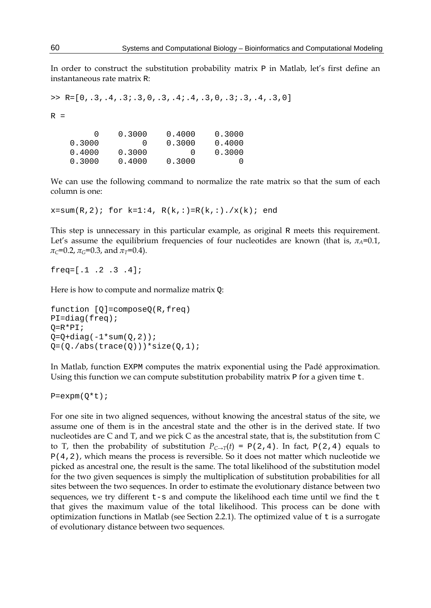In order to construct the substitution probability matrix  $P$  in Matlab, let's first define an instantaneous rate matrix R:

>> R=[0,.3,.4,.3;.3,0,.3,.4;.4,.3,0,.3;.3,.4,.3,0]

 $R =$ 

| $\left( \right)$ | 0.3000 | 0.4000 | 0.3000 |
|------------------|--------|--------|--------|
| 0.3000           | $\cup$ | 0.3000 | 0.4000 |
| 0.4000           | 0.3000 | $\Box$ | 0.3000 |
| 0.3000           | 0.4000 | 0.3000 |        |

We can use the following command to normalize the rate matrix so that the sum of each column is one:

 $x = sum(R, 2)$ ; for  $k = 1:4$ ,  $R(k, :)=R(k, :)$ .  $/x(k)$ ; end

This step is unnecessary in this particular example, as original R meets this requirement. Let's assume the equilibrium frequencies of four nucleotides are known (that is,  $\pi_A=0.1$ , *πC*=0.2, *πG*=0.3, and *πT*=0.4).

freq=[.1 .2 .3 .4];

Here is how to compute and normalize matrix Q:

```
function [Q]=composeQ(R,freq) 
PI=diag(freq); 
O=R*PI;Q = 0 + diag(-1 * sum(0, 2));
Q=(Q./abs(trace(Q)))*size(Q,1);
```
In Matlab, function EXPM computes the matrix exponential using the Padé approximation. Using this function we can compute substitution probability matrix  $P$  for a given time  $t$ .

 $P=expm(Q*t);$ 

For one site in two aligned sequences, without knowing the ancestral status of the site, we assume one of them is in the ancestral state and the other is in the derived state. If two nucleotides are C and T, and we pick C as the ancestral state, that is, the substitution from C to T, then the probability of substitution  $P_{C\rightarrow T}(t) = P(2, 4)$ . In fact,  $P(2, 4)$  equals to P(4,2), which means the process is reversible. So it does not matter which nucleotide we picked as ancestral one, the result is the same. The total likelihood of the substitution model for the two given sequences is simply the multiplication of substitution probabilities for all sites between the two sequences. In order to estimate the evolutionary distance between two sequences, we try different t-s and compute the likelihood each time until we find the t that gives the maximum value of the total likelihood. This process can be done with optimization functions in Matlab (see Section 2.2.1). The optimized value of  $t$  is a surrogate of evolutionary distance between two sequences.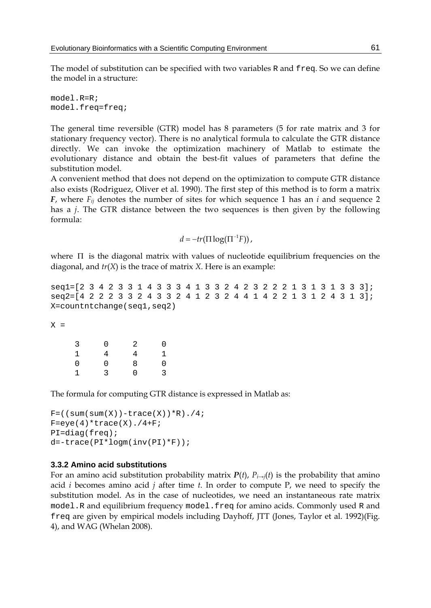The model of substitution can be specified with two variables R and freq. So we can define the model in a structure:

model.R=R; model.freq=freq;

The general time reversible (GTR) model has 8 parameters (5 for rate matrix and 3 for stationary frequency vector). There is no analytical formula to calculate the GTR distance directly. We can invoke the optimization machinery of Matlab to estimate the evolutionary distance and obtain the best-fit values of parameters that define the substitution model.

A convenient method that does not depend on the optimization to compute GTR distance also exists (Rodriguez, Oliver et al. 1990). The first step of this method is to form a matrix *F*, where *Fij* denotes the number of sites for which sequence 1 has an *i* and sequence 2 has a *j*. The GTR distance between the two sequences is then given by the following formula:

 $d = -tr(\Pi \log(\Pi^{-1}F))$ ,

where  $\Pi$  is the diagonal matrix with values of nucleotide equilibrium frequencies on the diagonal, and *tr*(*X*) is the trace of matrix *X*. Here is an example:

seq1=[2 3 4 2 3 3 1 4 3 3 3 4 1 3 3 2 4 2 3 2 2 2 1 3 1 3 1 3 3 3]; seq2=[4 2 2 2 3 3 2 4 3 3 2 4 1 2 3 2 4 4 1 4 2 2 1 3 1 2 4 3 1 3]; X=countntchange(seq1,seq2)

 $X =$ 

| 3 | U                       | 2        | 0                 |
|---|-------------------------|----------|-------------------|
| 1 | 4                       | 4        | $\mathbf{1}$<br>Ξ |
| 0 | $\Omega$                | 8        | 0                 |
| 1 | $\overline{\mathbf{3}}$ | $\Omega$ | $\overline{3}$    |

The formula for computing GTR distance is expressed in Matlab as:

```
F= ((sum(sum(X))-trace(X))*R)./4;
F=eye(4)*trace(X).4+F;PI=diag(freq); 
d=-trace(PI*logm(inv(PI)*F));
```
#### **3.3.2 Amino acid substitutions**

For an amino acid substitution probability matrix  $P(t)$ ,  $P_i \rightarrow (t)$  is the probability that amino acid *i* becomes amino acid *j* after time *t*. In order to compute P, we need to specify the substitution model. As in the case of nucleotides, we need an instantaneous rate matrix model.R and equilibrium frequency model.freq for amino acids. Commonly used R and freq are given by empirical models including Dayhoff, JTT (Jones, Taylor et al. 1992)(Fig. 4), and WAG (Whelan 2008).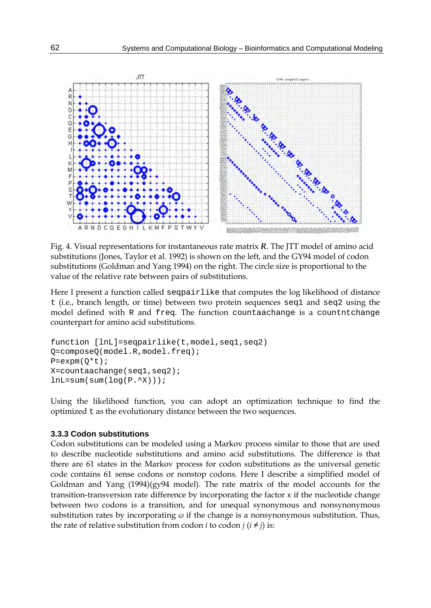

Fig. 4. Visual representations for instantaneous rate matrix *R*. The JTT model of amino acid substitutions (Jones, Taylor et al. 1992) is shown on the left, and the GY94 model of codon substitutions (Goldman and Yang 1994) on the right. The circle size is proportional to the value of the relative rate between pairs of substitutions.

Here I present a function called seqpairlike that computes the log likelihood of distance t (i.e., branch length, or time) between two protein sequences seq1 and seq2 using the model defined with R and freq. The function countaachange is a countntchange counterpart for amino acid substitutions.

```
function [lnL]=seqpairlike(t,model,seq1,seq2) 
Q=composeQ(model.R,model.freq); 
P=expm(Q*t); 
X=countaachange(seq1,seq2); 
lnL=sum(sum(log(P.^X)));
```
Using the likelihood function, you can adopt an optimization technique to find the optimized t as the evolutionary distance between the two sequences.

## **3.3.3 Codon substitutions**

Codon substitutions can be modeled using a Markov process similar to those that are used to describe nucleotide substitutions and amino acid substitutions. The difference is that there are 61 states in the Markov process for codon substitutions as the universal genetic code contains 61 sense codons or nonstop codons. Here I describe a simplified model of Goldman and Yang (1994)(gy94 model). The rate matrix of the model accounts for the transition-transversion rate difference by incorporating the factor *κ* if the nucleotide change between two codons is a transition, and for unequal synonymous and nonsynonymous substitution rates by incorporating *ω* if the change is a nonsynonymous substitution. Thus, the rate of relative substitution from codon *i* to codon *j*  $(i \neq j)$  is: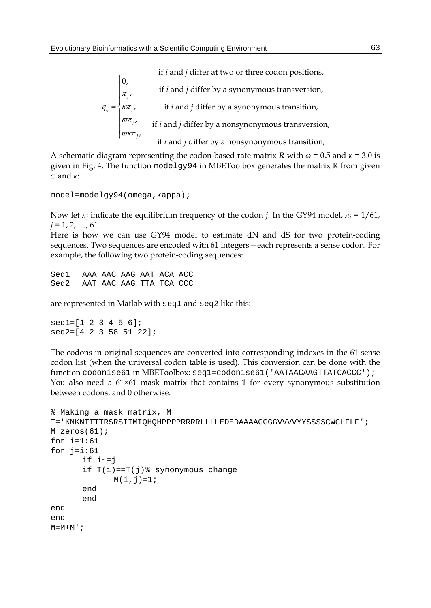if *i* and *j* differ at two or three codon positions,  
\n
$$
q_{ij} = \begin{cases}\n0, & \text{if } i \text{ and } j \text{ differ by a synonymous transversion,} \\
\kappa \pi_{j}, & \text{if } i \text{ and } j \text{ differ by a synonymous transition,} \\
\hline\n\varpi \pi_{j}, & \text{if } i \text{ and } j \text{ differ by a nonsynonymous transversion,} \\
\hline\n\pi \pi_{j}, & \text{if } i \text{ and } j \text{ differ by a nonsynonymous transition,} \\
\end{cases}
$$

A schematic diagram representing the codon-based rate matrix *R* with  $\omega$  = 0.5 and  $\kappa$  = 3.0 is given in Fig. 4. The function modelgy94 in MBEToolbox generates the matrix R from given *ω* and *κ*:

```
model=modelgy94(omega, kappa);
```
Now let  $\pi$ <sup>*j*</sup> indicate the equilibrium frequency of the codon *j*. In the GY94 model,  $\pi$ <sup>*j*</sup> = 1/61,  $j = 1, 2, ..., 61$ .

Here is how we can use GY94 model to estimate dN and dS for two protein-coding sequences. Two sequences are encoded with 61 integers—each represents a sense codon. For example, the following two protein-coding sequences:

Seq1 AAA AAC AAG AAT ACA ACC Seq2 AAT AAC AAG TTA TCA CCC

are represented in Matlab with seq1 and seq2 like this:

seq1=[1 2 3 4 5 6]; seq2=[4 2 3 58 51 22];

The codons in original sequences are converted into corresponding indexes in the 61 sense codon list (when the universal codon table is used). This conversion can be done with the function codonise61 in MBEToolbox: seq1=codonise61('AATAACAAGTTATCACCC'); You also need a 61×61 mask matrix that contains 1 for every synonymous substitution between codons, and 0 otherwise.

```
% Making a mask matrix, M 
T='KNKNTTTTRSRSIIMIQHQHPPPPRRRRLLLLEDEDAAAAGGGGVVVVYYSSSSCWCLFLF'; 
M =zeros(61);
for i=1:61for j=1:61 if i~=j 
       if T(i) == T(j) % synonymous change
              M(i, j) = 1; end 
        end 
end 
end 
M=M+M';
```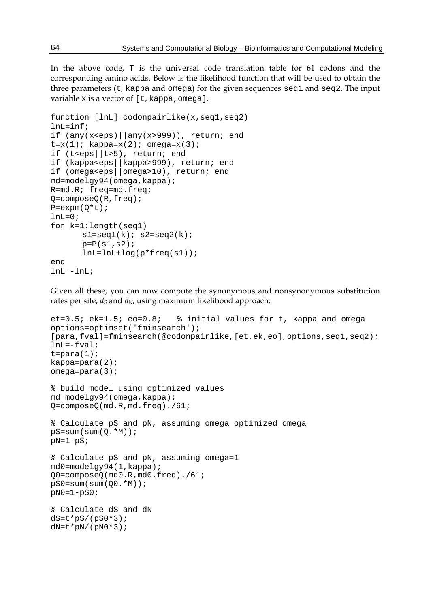In the above code, T is the universal code translation table for 61 codons and the corresponding amino acids. Below is the likelihood function that will be used to obtain the three parameters (t, kappa and omega) for the given sequences seq1 and seq2. The input variable x is a vector of  $[t, \text{kappa}, \text{omega}]$ .

```
function [lnL]=codonpairlike(x,seq1,seq2) 
lnL=inf; 
if (any(x<eps)||any(x>999)), return; end 
t=x(1); kappa=x(2); omega=x(3);
if (t<eps||t>5), return; end 
if (kappa<eps||kappa>999), return; end 
if (omega<eps||omega>10), return; end 
md=modelgy94(omega,kappa); 
R=md.R; freq=md.freq; 
Q=composeQ(R,freq); 
P=expm(Q*t);lnL=0;for k=1:length(seq1) 
       sl = seq1(k); sl = seq2(k);p = P(s1, s2); lnL=lnL+log(p*freq(s1)); 
end 
lnL=-lnL;
```
Given all these, you can now compute the synonymous and nonsynonymous substitution rates per site,  $d_S$  and  $d_N$ , using maximum likelihood approach:

```
et=0.5; ek=1.5; eo=0.8; % initial values for t, kappa and omega 
options=optimset('fminsearch'); 
[para,fval]=fminsearch(@codonpairlike,[et,ek,eo],options,seq1,seq2); 
lnL=-fval; 
t = para(1);kappa=para(2); 
omega=para(3); 
% build model using optimized values 
md=modelgy94(omega,kappa); 
Q=composeQ(md.R,md.freq)./61; 
% Calculate pS and pN, assuming omega=optimized omega 
pS=sum(sum(Q.*M));
pN=1-pS;% Calculate pS and pN, assuming omega=1 
md0=modelgy94(1,kappa); 
Q0=composeQ(md0.R,md0.freq)./61; 
pS0=sum(sum(Q0.*M));
pN0=1-pS0;% Calculate dS and dN 
dS=t*pS/(pS0*3);dN=t*pN/(pN0*3);
```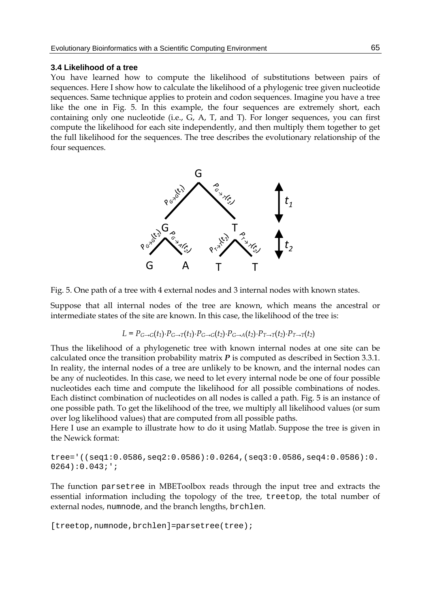#### **3.4 Likelihood of a tree**

You have learned how to compute the likelihood of substitutions between pairs of sequences. Here I show how to calculate the likelihood of a phylogenic tree given nucleotide sequences. Same technique applies to protein and codon sequences. Imagine you have a tree like the one in Fig. 5. In this example, the four sequences are extremely short, each containing only one nucleotide (i.e., G, A, T, and T). For longer sequences, you can first compute the likelihood for each site independently, and then multiply them together to get the full likelihood for the sequences. The tree describes the evolutionary relationship of the four sequences.



Fig. 5. One path of a tree with 4 external nodes and 3 internal nodes with known states.

Suppose that all internal nodes of the tree are known, which means the ancestral or intermediate states of the site are known. In this case, the likelihood of the tree is:

$$
L = P_{G \to G}(t_1) \cdot P_{G \to T}(t_1) \cdot P_{G \to G}(t_2) \cdot P_{G \to A}(t_2) \cdot P_{T \to T}(t_2) \cdot P_{T \to T}(t_2)
$$

Thus the likelihood of a phylogenetic tree with known internal nodes at one site can be calculated once the transition probability matrix *P* is computed as described in Section 3.3.1. In reality, the internal nodes of a tree are unlikely to be known, and the internal nodes can be any of nucleotides. In this case, we need to let every internal node be one of four possible nucleotides each time and compute the likelihood for all possible combinations of nodes. Each distinct combination of nucleotides on all nodes is called a path. Fig. 5 is an instance of one possible path. To get the likelihood of the tree, we multiply all likelihood values (or sum over log likelihood values) that are computed from all possible paths.

Here I use an example to illustrate how to do it using Matlab. Suppose the tree is given in the Newick format:

```
tree='((seq1:0.0586, seq2:0.0586):0.0264, (seq3:0.0586, seq4:0.0586):0.0264):0.043;';
```
The function parsetree in MBEToolbox reads through the input tree and extracts the essential information including the topology of the tree, treetop, the total number of external nodes, numnode, and the branch lengths, brchlen.

```
[treetop, numnode, brchlen]=parsetree(tree);
```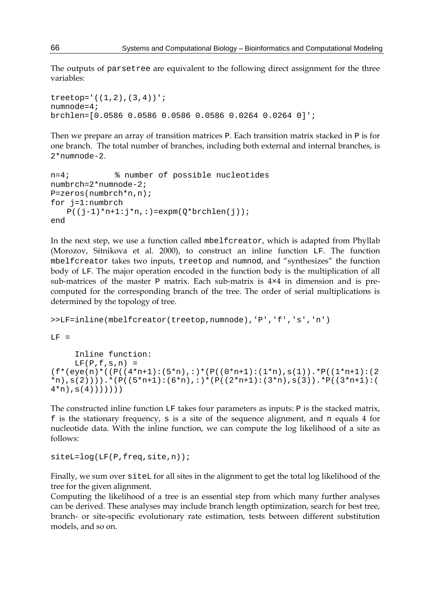The outputs of parsetree are equivalent to the following direct assignment for the three variables:

```
treetop='((1,2),(3,4))';
numnode=4; 
brchlen=[0.0586 0.0586 0.0586 0.0586 0.0264 0.0264 0]';
```
Then we prepare an array of transition matrices P. Each transition matrix stacked in P is for one branch. The total number of branches, including both external and internal branches, is 2\*numnode-2.

```
n=4; % number of possible nucleotides 
numbrch=2*numnode-2; 
P=zeros(numbrch*n,n); 
for j=1:numbrch 
   P((j-1)*n+1:j*n,:)=expm(Q*brchlen(j));end
```
In the next step, we use a function called mbelfcreator, which is adapted from Phyllab (Morozov, Sitnikova et al. 2000), to construct an inline function LF. The function mbelfcreator takes two inputs, treetop and numnod, and "synthesizes" the function body of LF. The major operation encoded in the function body is the multiplication of all sub-matrices of the master P matrix. Each sub-matrix is  $4\times4$  in dimension and is precomputed for the corresponding branch of the tree. The order of serial multiplications is determined by the topology of tree.

```
>>LF=inline(mbelfcreator(treetop,numnode),'P','f','s','n')
```
 $L =$ 

```
 Inline function: 
    LF(P, f, s, n) =(f*(eye(n)*(P((4*n+1):(5*n),:)*(P((0*n+1):(1*n),s(1)).*P((1*n+1):(2*n),s(2)))).*(P((5*n+1):(6*n),:)*(P((2*n+1):(3*n),s(3)).*P((3*n+1):(
4 * n), s(4)))))))
```
The constructed inline function LF takes four parameters as inputs: P is the stacked matrix, f is the stationary frequency, s is a site of the sequence alignment, and n equals 4 for nucleotide data. With the inline function, we can compute the log likelihood of a site as follows:

siteL=log(LF(P,freq,site,n));

Finally, we sum over siteL for all sites in the alignment to get the total log likelihood of the tree for the given alignment.

Computing the likelihood of a tree is an essential step from which many further analyses can be derived. These analyses may include branch length optimization, search for best tree, branch- or site-specific evolutionary rate estimation, tests between different substitution models, and so on.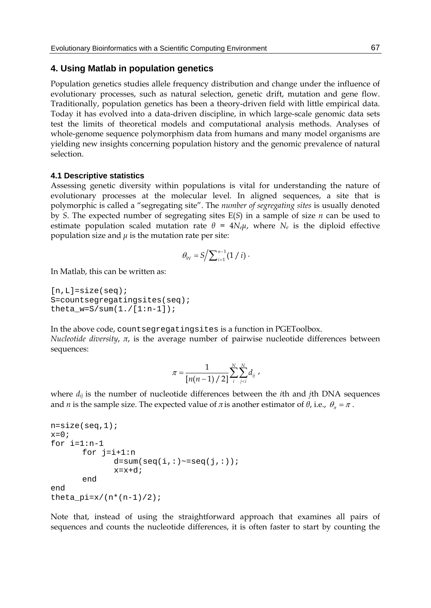#### **4. Using Matlab in population genetics**

Population genetics studies allele frequency distribution and change under the influence of evolutionary processes, such as natural selection, genetic drift, mutation and gene flow. Traditionally, population genetics has been a theory-driven field with little empirical data. Today it has evolved into a data-driven discipline, in which large-scale genomic data sets test the limits of theoretical models and computational analysis methods. Analyses of whole-genome sequence polymorphism data from humans and many model organisms are yielding new insights concerning population history and the genomic prevalence of natural selection.

#### **4.1 Descriptive statistics**

Assessing genetic diversity within populations is vital for understanding the nature of evolutionary processes at the molecular level. In aligned sequences, a site that is polymorphic is called a "segregating site". The *number of segregating sites* is usually denoted by *S*. The expected number of segregating sites E(*S*) in a sample of size *n* can be used to estimate population scaled mutation rate  $\theta = 4N_e\mu$ , where  $N_e$  is the diploid effective population size and  $\mu$  is the mutation rate per site:

$$
\theta_{W} = S / \sum_{i=1}^{n-1} (1/i).
$$

In Matlab, this can be written as:

 $[n,L]=size(seq)$ ; S=countsegregatingsites(seq); theta\_w=S/sum $(1./[1:n-1])$ ;

In the above code, countsegregatingsites is a function in PGEToolbox. *Nucleotide diversity*, *π*, is the average number of pairwise nucleotide differences between sequences:

$$
\pi = \frac{1}{[n(n-1)/2]} \sum_{i}^{N} \sum_{j
$$

where *dij* is the number of nucleotide differences between the *i*th and *j*th DNA sequences and *n* is the sample size. The expected value of  $\pi$  is another estimator of  $\theta$ , i.e.,  $\theta_{\pi} = \pi$ .

```
n=size(seq,1); 
x=0:
for i=1:n-1for j=i+1:n 
             d=sum(seq(i,:)-seq(j,:));x=x+d;end 
end 
theta_pi=x/(n*(n-1)/2);
```
Note that, instead of using the straightforward approach that examines all pairs of sequences and counts the nucleotide differences, it is often faster to start by counting the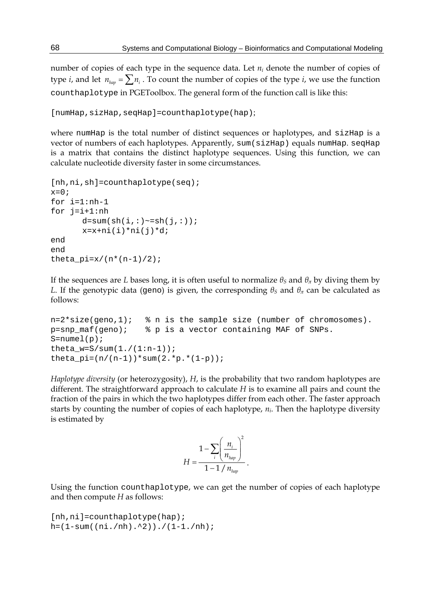number of copies of each type in the sequence data. Let *ni* denote the number of copies of type *i*, and let  $n_{hm} = \sum n_i$ . To count the number of copies of the type *i*, we use the function counthaplotype in PGEToolbox. The general form of the function call is like this:

```
[numHap,sizHap,seqHap]=counthaplotype(hap);
```
where numHap is the total number of distinct sequences or haplotypes, and sizHap is a vector of numbers of each haplotypes. Apparently, sum(sizHap) equals numHap. seqHap is a matrix that contains the distinct haplotype sequences. Using this function, we can calculate nucleotide diversity faster in some circumstances.

```
[nh,ni,sh]=counthaplotype(seq);
x=0;for i=1:nh-1 
for j=i+1:nh 
      d = sum(sh(i,:)-sh(j,:));x=x+ni(i)*ni(j)*d;end 
end 
theta_pi=x/(n*(n-1)/2);
```
If the sequences are *L* bases long, it is often useful to normalize  $\theta_s$  and  $\theta_{\pi}$  by diving them by *L*. If the genotypic data (geno) is given, the corresponding  $\theta$ *s* and  $\theta$ *<sub><i>n*</sub> can be calculated as follows:

```
n=2*size(qeno,1); % n is the sample size (number of chromosomes).
p=snp_maf(geno); % p is a vector containing MAF of SNPs. 
S=numel(p); 
theta_w=S/sum(1./(1:n-1)); 
theta_pi=(n/(n-1))*sum(2.*p.*(1-p));
```
*Haplotype diversity* (or heterozygosity), *H*, is the probability that two random haplotypes are different. The straightforward approach to calculate *H* is to examine all pairs and count the fraction of the pairs in which the two haplotypes differ from each other. The faster approach starts by counting the number of copies of each haplotype, *ni*. Then the haplotype diversity is estimated by

$$
H = \frac{1 - \sum_{i} \left(\frac{n_i}{n_{\text{map}}}\right)^2}{1 - 1/n_{\text{map}}}.
$$

Using the function counthaplotype, we can get the number of copies of each haplotype and then compute *H* as follows:

[nh,ni]=counthaplotype(hap);  $h=(1-sum((ni./nh).^2))$ ./(1-1./nh);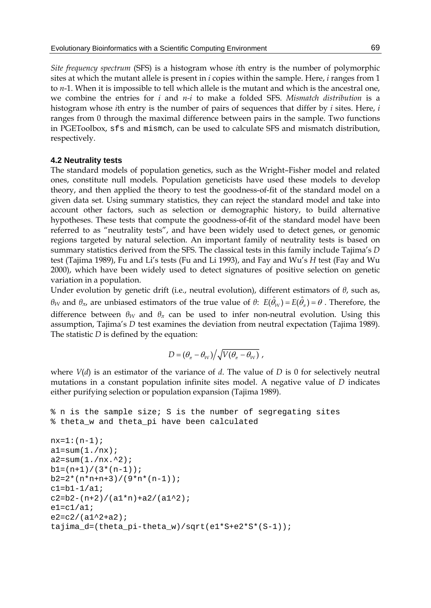*Site frequency spectrum* (SFS) is a histogram whose *i*th entry is the number of polymorphic sites at which the mutant allele is present in *i* copies within the sample. Here, *i* ranges from 1 to *n*-1. When it is impossible to tell which allele is the mutant and which is the ancestral one, we combine the entries for *i* and *n-i* to make a folded SFS. *Mismatch distribution* is a histogram whose *i*th entry is the number of pairs of sequences that differ by *i* sites. Here, *i* ranges from 0 through the maximal difference between pairs in the sample. Two functions in PGEToolbox, sfs and mismch, can be used to calculate SFS and mismatch distribution, respectively.

#### **4.2 Neutrality tests**

The standard models of population genetics, such as the Wright–Fisher model and related ones, constitute null models. Population geneticists have used these models to develop theory, and then applied the theory to test the goodness-of-fit of the standard model on a given data set. Using summary statistics, they can reject the standard model and take into account other factors, such as selection or demographic history, to build alternative hypotheses. These tests that compute the goodness-of-fit of the standard model have been referred to as "neutrality tests", and have been widely used to detect genes, or genomic regions targeted by natural selection. An important family of neutrality tests is based on summary statistics derived from the SFS. The classical tests in this family include Tajima's *D* test (Tajima 1989), Fu and Li's tests (Fu and Li 1993), and Fay and Wu's *H* test (Fay and Wu 2000), which have been widely used to detect signatures of positive selection on genetic variation in a population.

Under evolution by genetic drift (i.e., neutral evolution), different estimators of *θ*, such as, *θ<sub>W</sub>* and *θ<sub>π</sub>*, are unbiased estimators of the true value of *θ*:  $E(\hat{\theta}_w) = E(\hat{\theta}_z) = \theta$ . Therefore, the difference between  $\theta_W$  and  $\theta_\pi$  can be used to infer non-neutral evolution. Using this assumption, Tajima's *D* test examines the deviation from neutral expectation (Tajima 1989). The statistic *D* is defined by the equation:

$$
D = (\theta_{\pi} - \theta_{W}) / \sqrt{V(\theta_{\pi} - \theta_{W})},
$$

where *V*(*d*) is an estimator of the variance of *d*. The value of *D* is 0 for selectively neutral mutations in a constant population infinite sites model. A negative value of *D* indicates either purifying selection or population expansion (Tajima 1989).

```
% n is the sample size; S is the number of segregating sites 
% theta_w and theta_pi have been calculated
```

```
nx=1:(n-1);a1 = sum(1./nx);a2 = sum(1./nx.^2);b1=(n+1)/(3*(n-1));b2=2*(n*n+n+3)/(9*n*(n-1)); 
cl=b1-1/a1;c2=b2-(n+2)/(a1*n)+a2/(a1^2);e1 = c1/a1;e2 = c2/(a1^2-a2);
tajima_d=(theta_pi-theta_w)/sqrt(e1*S+e2*S*(S-1));
```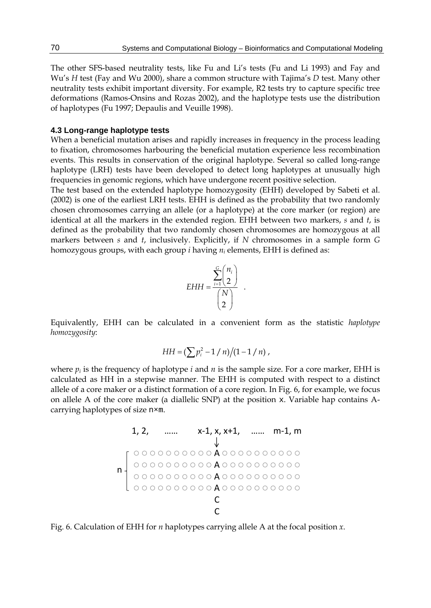The other SFS-based neutrality tests, like Fu and Li's tests (Fu and Li 1993) and Fay and Wu's *H* test (Fay and Wu 2000), share a common structure with Tajima's *D* test. Many other neutrality tests exhibit important diversity. For example, R2 tests try to capture specific tree deformations (Ramos-Onsins and Rozas 2002), and the haplotype tests use the distribution of haplotypes (Fu 1997; Depaulis and Veuille 1998).

## **4.3 Long-range haplotype tests**

When a beneficial mutation arises and rapidly increases in frequency in the process leading to fixation, chromosomes harbouring the beneficial mutation experience less recombination events. This results in conservation of the original haplotype. Several so called long-range haplotype (LRH) tests have been developed to detect long haplotypes at unusually high frequencies in genomic regions, which have undergone recent positive selection.

The test based on the extended haplotype homozygosity (EHH) developed by Sabeti et al. (2002) is one of the earliest LRH tests. EHH is defined as the probability that two randomly chosen chromosomes carrying an allele (or a haplotype) at the core marker (or region) are identical at all the markers in the extended region. EHH between two markers, *s* and *t*, is defined as the probability that two randomly chosen chromosomes are homozygous at all markers between *s* and *t*, inclusively. Explicitly, if *N* chromosomes in a sample form *G* homozygous groups, with each group *i* having *ni* elements, EHH is defined as:

$$
EHH = \frac{\sum_{i=1}^{G} {n_i \choose 2}} {N \choose 2} .
$$

Equivalently, EHH can be calculated in a convenient form as the statistic *haplotype homozygosity*:

$$
HH = \left(\sum p_i^2 - 1 / n\right) / (1 - 1 / n) ,
$$

where  $p_i$  is the frequency of haplotype  $i$  and  $n$  is the sample size. For a core marker, EHH is calculated as HH in a stepwise manner. The EHH is computed with respect to a distinct allele of a core maker or a distinct formation of a core region. In Fig. 6, for example, we focus on allele A of the core maker (a diallelic SNP) at the position x. Variable hap contains Acarrying haplotypes of size n×m.



Fig. 6. Calculation of EHH for *n* haplotypes carrying allele A at the focal position *x*.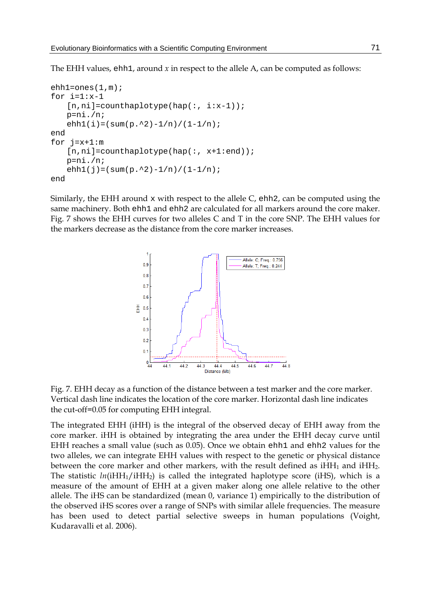The EHH values, ehh1, around *x* in respect to the allele A, can be computed as follows:

```
ehh1=ones(1,m);
for i=1:x-1 [n,ni]=counthaplotype(hap(:, i:x-1)); 
    p=ni./n; 
   ehh1(i)=(sum(p.^2)-1/n)/(1-1/n);
end 
for j=x+1:m 
    [n,ni]=counthaplotype(hap(:, x+1:end)); 
    p=ni./n; 
   ehh1(j)=(sum(p.^2)-1/n)/(1-1/n);
end
```
Similarly, the EHH around  $x$  with respect to the allele  $C$ , ehh2, can be computed using the same machinery. Both ehh1 and ehh2 are calculated for all markers around the core maker. Fig. 7 shows the EHH curves for two alleles C and T in the core SNP. The EHH values for the markers decrease as the distance from the core marker increases.



Fig. 7. EHH decay as a function of the distance between a test marker and the core marker. Vertical dash line indicates the location of the core marker. Horizontal dash line indicates the cut-off=0.05 for computing EHH integral.

The integrated EHH (iHH) is the integral of the observed decay of EHH away from the core marker. iHH is obtained by integrating the area under the EHH decay curve until EHH reaches a small value (such as 0.05). Once we obtain ehh1 and ehh2 values for the two alleles, we can integrate EHH values with respect to the genetic or physical distance between the core marker and other markers, with the result defined as  $\text{ifHH}_1$  and  $\text{ifHH}_2$ . The statistic  $ln(iHH_1/iHH_2)$  is called the integrated haplotype score (iHS), which is a measure of the amount of EHH at a given maker along one allele relative to the other allele. The iHS can be standardized (mean 0, variance 1) empirically to the distribution of the observed iHS scores over a range of SNPs with similar allele frequencies. The measure has been used to detect partial selective sweeps in human populations (Voight, Kudaravalli et al. 2006).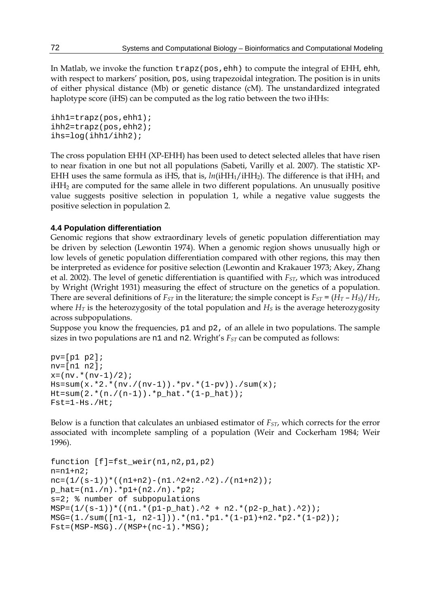In Matlab, we invoke the function trapz(pos,ehh) to compute the integral of EHH, ehh, with respect to markers' position, pos, using trapezoidal integration. The position is in units of either physical distance (Mb) or genetic distance (cM). The unstandardized integrated haplotype score (iHS) can be computed as the log ratio between the two iHHs:

ihh1=trapz(pos,ehh1); ihh2=trapz(pos,ehh2); ihs=log(ihh1/ihh2);

The cross population EHH (XP-EHH) has been used to detect selected alleles that have risen to near fixation in one but not all populations (Sabeti, Varilly et al. 2007). The statistic XP-EHH uses the same formula as iHS, that is, *ln*(iHH<sub>1</sub>/iHH<sub>2</sub>). The difference is that iHH<sub>1</sub> and iHH2 are computed for the same allele in two different populations. An unusually positive value suggests positive selection in population 1, while a negative value suggests the positive selection in population 2.

## **4.4 Population differentiation**

Genomic regions that show extraordinary levels of genetic population differentiation may be driven by selection (Lewontin 1974). When a genomic region shows unusually high or low levels of genetic population differentiation compared with other regions, this may then be interpreted as evidence for positive selection (Lewontin and Krakauer 1973; Akey, Zhang et al. 2002). The level of genetic differentiation is quantified with *FST*, which was introduced by Wright (Wright 1931) measuring the effect of structure on the genetics of a population. There are several definitions of  $F_{ST}$  in the literature; the simple concept is  $F_{ST} = (H_T - H_S)/H_T$ , where  $H_T$  is the heterozygosity of the total population and  $H_S$  is the average heterozygosity across subpopulations.

Suppose you know the frequencies,  $p1$  and  $p2$ , of an allele in two populations. The sample sizes in two populations are  $n1$  and  $n2$ . Wright's  $F_{ST}$  can be computed as follows:

```
pv=[p1 p2]; 
nv=[n1 n2]; 
x=(nv.*(nv-1)/2);Hs = sum(x.*2.*(ny./(nv-1)).*pv.*(1-py))./sum(x);Ht=sum(2.*(n./(n-1)).*p_hat.*(1-p_hat)); 
Fst=1-Hs./Ht;
```
Below is a function that calculates an unbiased estimator of *FST*, which corrects for the error associated with incomplete sampling of a population (Weir and Cockerham 1984; Weir 1996).

```
function [f]=fst_weir(n1,n2,p1,p2) 
n=n1+n2; 
nc=(1/(s-1)) * ((n1+n2)-(n1.^2+n2.^2)./(n1+n2));
p_hat=(n1./n).*p1+(n2./n).*p2; 
s=2; % number of subpopulations 
MSP = (1/(s-1)) * ((n1.*(p1-p_hat).^2 + n2.*(p2-p_hat).^2));MSG=(1./sum([n1-1, n2-1])). *(n1.*p1.*(1-p1)+n2.*p2.*(1-p2));
Fst=(MSP-MSG)./(MSP+(nc-1).*MSG);
```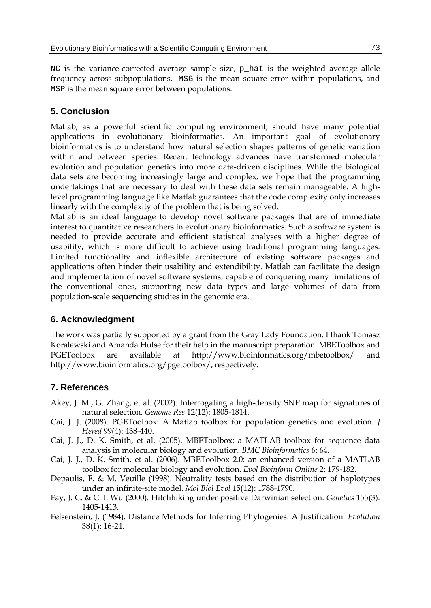NC is the variance-corrected average sample size, p\_hat is the weighted average allele frequency across subpopulations, MSG is the mean square error within populations, and MSP is the mean square error between populations.

# **5. Conclusion**

Matlab, as a powerful scientific computing environment, should have many potential applications in evolutionary bioinformatics. An important goal of evolutionary bioinformatics is to understand how natural selection shapes patterns of genetic variation within and between species. Recent technology advances have transformed molecular evolution and population genetics into more data-driven disciplines. While the biological data sets are becoming increasingly large and complex, we hope that the programming undertakings that are necessary to deal with these data sets remain manageable. A highlevel programming language like Matlab guarantees that the code complexity only increases linearly with the complexity of the problem that is being solved.

Matlab is an ideal language to develop novel software packages that are of immediate interest to quantitative researchers in evolutionary bioinformatics. Such a software system is needed to provide accurate and efficient statistical analyses with a higher degree of usability, which is more difficult to achieve using traditional programming languages. Limited functionality and inflexible architecture of existing software packages and applications often hinder their usability and extendibility. Matlab can facilitate the design and implementation of novel software systems, capable of conquering many limitations of the conventional ones, supporting new data types and large volumes of data from population-scale sequencing studies in the genomic era.

# **6. Acknowledgment**

The work was partially supported by a grant from the Gray Lady Foundation. I thank Tomasz Koralewski and Amanda Hulse for their help in the manuscript preparation. MBEToolbox and PGEToolbox are available at http://www.bioinformatics.org/mbetoolbox/ and http://www.bioinformatics.org/pgetoolbox/, respectively.

# **7. References**

- Akey, J. M., G. Zhang, et al. (2002). Interrogating a high-density SNP map for signatures of natural selection. *Genome Res* 12(12): 1805-1814.
- Cai, J. J. (2008). PGEToolbox: A Matlab toolbox for population genetics and evolution. *J Hered* 99(4): 438-440.
- Cai, J. J., D. K. Smith, et al. (2005). MBEToolbox: a MATLAB toolbox for sequence data analysis in molecular biology and evolution. *BMC Bioinformatics* 6: 64.
- Cai, J. J., D. K. Smith, et al. (2006). MBEToolbox 2.0: an enhanced version of a MATLAB toolbox for molecular biology and evolution. *Evol Bioinform Online* 2: 179-182.
- Depaulis, F. & M. Veuille (1998). Neutrality tests based on the distribution of haplotypes under an infinite-site model. *Mol Biol Evol* 15(12): 1788-1790.
- Fay, J. C. & C. I. Wu (2000). Hitchhiking under positive Darwinian selection. *Genetics* 155(3): 1405-1413.
- Felsenstein, J. (1984). Distance Methods for Inferring Phylogenies: A Justification. *Evolution* 38(1): 16-24.